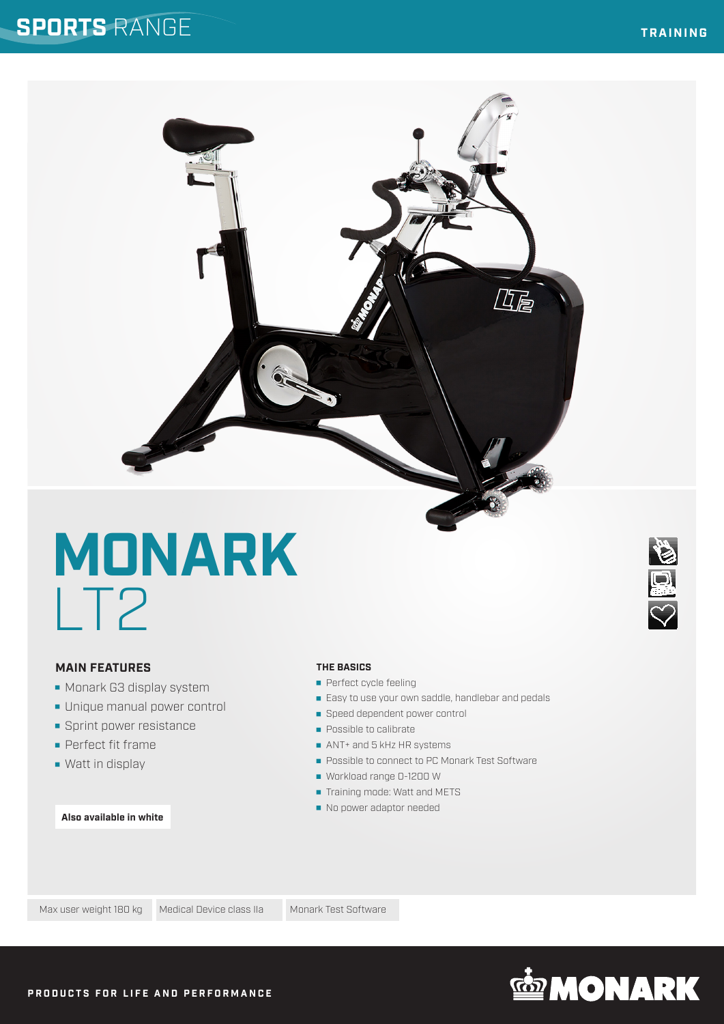## **SPORTS** RANGE

### **TRAINING**

**SIEU OF** 

# **MONARK** LT2

### **MAIN FEATURES**

- **Monark G3 display system**
- Unique manual power control
- **Sprint power resistance**
- **Perfect fit frame**
- **Watt in display**

### **Also available in white**

### **THE BASICS**

- **Perfect cycle feeling**
- Easy to use your own saddle, handlebar and pedals

巧尾

- Speed dependent power control
- **Possible to calibrate**
- ANT+ and 5 kHz HR systems
- **Possible to connect to PC Monark Test Software**
- Workload range 0-1200 W
- Training mode: Watt and METS
- No power adaptor needed

Max user weight 180 kg Medical Device class IIa Monark Test Software